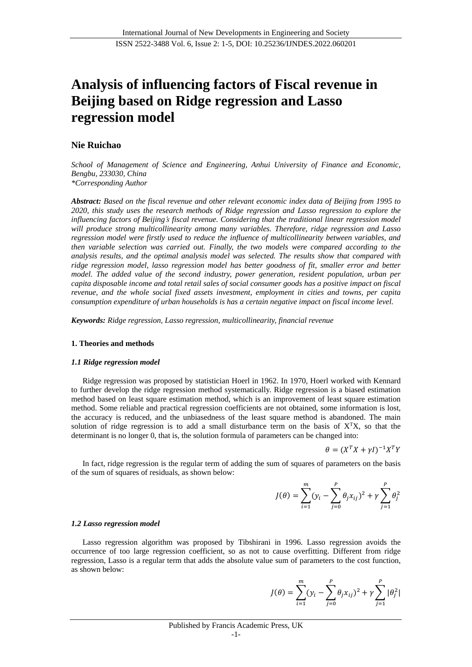# **Analysis of influencing factors of Fiscal revenue in Beijing based on Ridge regression and Lasso regression model**

# **Nie Ruichao**

*School of Management of Science and Engineering, Anhui University of Finance and Economic, Bengbu, 233030, China \*Corresponding Author*

*Abstract: Based on the fiscal revenue and other relevant economic index data of Beijing from 1995 to 2020, this study uses the research methods of Ridge regression and Lasso regression to explore the influencing factors of Beijing's fiscal revenue. Considering that the traditional linear regression model will produce strong multicollinearity among many variables. Therefore, ridge regression and Lasso regression model were firstly used to reduce the influence of multicollinearity between variables, and then variable selection was carried out. Finally, the two models were compared according to the analysis results, and the optimal analysis model was selected. The results show that compared with ridge regression model, lasso regression model has better goodness of fit, smaller error and better model. The added value of the second industry, power generation, resident population, urban per capita disposable income and total retail sales of social consumer goods has a positive impact on fiscal revenue, and the whole social fixed assets investment, employment in cities and towns, per capita consumption expenditure of urban households is has a certain negative impact on fiscal income level.*

*Keywords: Ridge regression, Lasso regression, multicollinearity, financial revenue*

#### **1. Theories and methods**

#### *1.1 Ridge regression model*

Ridge regression was proposed by statistician Hoerl in 1962. In 1970, Hoerl worked with Kennard to further develop the ridge regression method systematically. Ridge regression is a biased estimation method based on least square estimation method, which is an improvement of least square estimation method. Some reliable and practical regression coefficients are not obtained, some information is lost, the accuracy is reduced, and the unbiasedness of the least square method is abandoned. The main solution of ridge regression is to add a small disturbance term on the basis of  $X<sup>T</sup>X$ , so that the determinant is no longer 0, that is, the solution formula of parameters can be changed into:

$$
\theta = (X^T X + \gamma I)^{-1} X^T Y
$$

In fact, ridge regression is the regular term of adding the sum of squares of parameters on the basis of the sum of squares of residuals, as shown below:

$$
J(\theta) = \sum_{i=1}^{m} (y_i - \sum_{j=0}^{p} \theta_j x_{ij})^2 + \gamma \sum_{j=1}^{p} \theta_j^2
$$

#### *1.2 Lasso regression model*

Lasso regression algorithm was proposed by Tibshirani in 1996. Lasso regression avoids the occurrence of too large regression coefficient, so as not to cause overfitting. Different from ridge regression, Lasso is a regular term that adds the absolute value sum of parameters to the cost function, as shown below:

$$
J(\theta) = \sum_{i=1}^{m} (y_i - \sum_{j=0}^{p} \theta_j x_{ij})^2 + \gamma \sum_{j=1}^{p} |\theta_j^2|
$$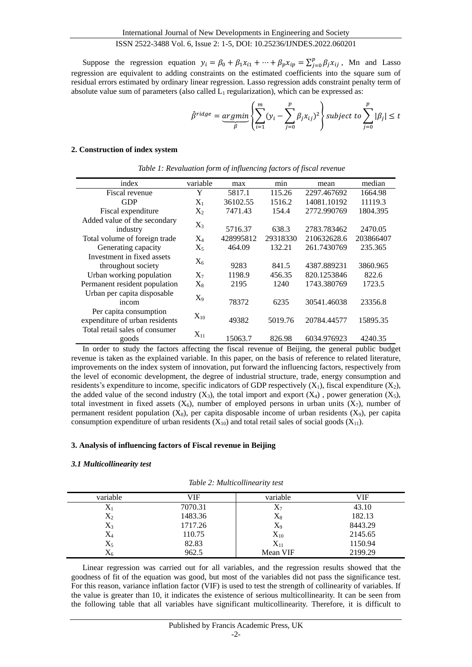Suppose the regression equation  $y_i = \beta_0 + \beta_1 x_{i1} + \cdots + \beta_p x_{ip} = \sum_{i=0}^p \beta_i x_{ij}$  $_{j=0}^{p} \beta_j x_{ij}$ , Mn and Lasso regression are equivalent to adding constraints on the estimated coefficients into the square sum of residual errors estimated by ordinary linear regression. Lasso regression adds constraint penalty term of absolute value sum of parameters (also called  $L_1$  regularization), which can be expressed as:

$$
\hat{\beta}^{ridge} = \underbrace{argmin}_{\hat{\beta}} \left\{ \sum_{i=1}^{m} (y_i - \sum_{j=0}^{p} \beta_j x_{ij})^2 \right\} \text{subject to } \sum_{j=0}^{p} |\beta_j| \leq t
$$

#### **2. Construction of index system**

| index                          | variable  | max       | min      | mean        | median    |
|--------------------------------|-----------|-----------|----------|-------------|-----------|
| Fiscal revenue                 | Y         | 5817.1    | 115.26   | 2297.467692 | 1664.98   |
| <b>GDP</b>                     | $X_1$     | 36102.55  | 1516.2   | 14081.10192 | 11119.3   |
| Fiscal expenditure             | $X_2$     | 7471.43   | 154.4    | 2772.990769 | 1804.395  |
| Added value of the secondary   |           |           |          |             |           |
| industry                       | $X_3$     | 5716.37   | 638.3    | 2783.783462 | 2470.05   |
| Total volume of foreign trade  | $X_4$     | 428995812 | 29318330 | 210632628.6 | 203866407 |
| Generating capacity            | $\rm X_5$ | 464.09    | 132.21   | 261.7430769 | 235.365   |
| Investment in fixed assets     | $\rm X_6$ |           |          |             |           |
| throughout society             |           | 9283      | 841.5    | 4387.889231 | 3860.965  |
| Urban working population       | $X_7$     | 1198.9    | 456.35   | 820.1253846 | 822.6     |
| Permanent resident population  | $\rm X_8$ | 2195      | 1240     | 1743.380769 | 1723.5    |
| Urban per capita disposable    | $X_9$     |           |          |             |           |
| incom                          |           | 78372     | 6235     | 30541.46038 | 23356.8   |
| Per capita consumption         |           |           |          |             |           |
| expenditure of urban residents | $X_{10}$  | 49382     | 5019.76  | 20784.44577 | 15895.35  |
| Total retail sales of consumer | $X_{11}$  |           |          |             |           |
| goods                          |           | 15063.7   | 826.98   | 6034.976923 | 4240.35   |

|  |  | Table 1: Revaluation form of influencing factors of fiscal revenue |  |  |  |  |  |
|--|--|--------------------------------------------------------------------|--|--|--|--|--|
|--|--|--------------------------------------------------------------------|--|--|--|--|--|

In order to study the factors affecting the fiscal revenue of Beijing, the general public budget revenue is taken as the explained variable. In this paper, on the basis of reference to related literature, improvements on the index system of innovation, put forward the influencing factors, respectively from the level of economic development, the degree of industrial structure, trade, energy consumption and residents's expenditure to income, specific indicators of GDP respectively  $(X_1)$ , fiscal expenditure  $(X_2)$ , the added value of the second industry  $(X_3)$ , the total import and export  $(X_4)$ , power generation  $(X_5)$ , total investment in fixed assets  $(X_6)$ , number of employed persons in urban units  $(X_7)$ , number of permanent resident population  $(X_8)$ , per capita disposable income of urban residents  $(X_9)$ , per capita consumption expenditure of urban residents  $(X_{10})$  and total retail sales of social goods  $(X_{11})$ .

## **3. Analysis of influencing factors of Fiscal revenue in Beijing**

#### *3.1 Multicollinearity test*

|  | Table 2: Multicollinearity test |  |  |
|--|---------------------------------|--|--|
|--|---------------------------------|--|--|

| variable  | VIF     | variable | VIF     |
|-----------|---------|----------|---------|
| $X_1$     | 7070.31 | $X_7$    | 43.10   |
| $X_2$     | 1483.36 | $X_8$    | 182.13  |
| $X_3$     | 1717.26 | $X_9$    | 8443.29 |
| $\rm X_4$ | 110.75  | $X_{10}$ | 2145.65 |
| $X_5$     | 82.83   | $X_{11}$ | 1150.94 |
| $\rm X_6$ | 962.5   | Mean VIF | 2199.29 |

Linear regression was carried out for all variables, and the regression results showed that the goodness of fit of the equation was good, but most of the variables did not pass the significance test. For this reason, variance inflation factor (VIF) is used to test the strength of collinearity of variables. If the value is greater than 10, it indicates the existence of serious multicollinearity. It can be seen from the following table that all variables have significant multicollinearity. Therefore, it is difficult to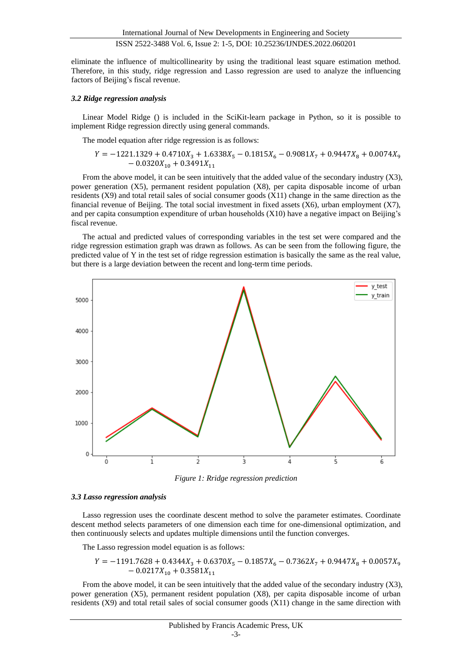eliminate the influence of multicollinearity by using the traditional least square estimation method. Therefore, in this study, ridge regression and Lasso regression are used to analyze the influencing factors of Beijing's fiscal revenue.

#### *3.2 Ridge regression analysis*

Linear Model Ridge () is included in the SciKit-learn package in Python, so it is possible to implement Ridge regression directly using general commands.

The model equation after ridge regression is as follows:

$$
Y=-1221.1329+0.4710X_3+1.6338X_5-0.1815X_6-0.9081X_7+0.9447X_8+0.0074X_9\\-0.0320X_{10}+0.3491X_{11}
$$

From the above model, it can be seen intuitively that the added value of the secondary industry (X3), power generation (X5), permanent resident population (X8), per capita disposable income of urban residents (X9) and total retail sales of social consumer goods (X11) change in the same direction as the financial revenue of Beijing. The total social investment in fixed assets  $(X6)$ , urban employment  $(X7)$ , and per capita consumption expenditure of urban households (X10) have a negative impact on Beijing's fiscal revenue.

The actual and predicted values of corresponding variables in the test set were compared and the ridge regression estimation graph was drawn as follows. As can be seen from the following figure, the predicted value of Y in the test set of ridge regression estimation is basically the same as the real value, but there is a large deviation between the recent and long-term time periods.



*Figure 1: Rridge regression prediction*

#### *3.3 Lasso regression analysis*

Lasso regression uses the coordinate descent method to solve the parameter estimates. Coordinate descent method selects parameters of one dimension each time for one-dimensional optimization, and then continuously selects and updates multiple dimensions until the function converges.

The Lasso regression model equation is as follows:

$$
Y = -1191.7628 + 0.4344X_3 + 0.6370X_5 - 0.1857X_6 - 0.7362X_7 + 0.9447X_8 + 0.0057X_9 - 0.0217X_{10} + 0.3581X_{11}
$$

From the above model, it can be seen intuitively that the added value of the secondary industry (X3), power generation (X5), permanent resident population (X8), per capita disposable income of urban residents (X9) and total retail sales of social consumer goods (X11) change in the same direction with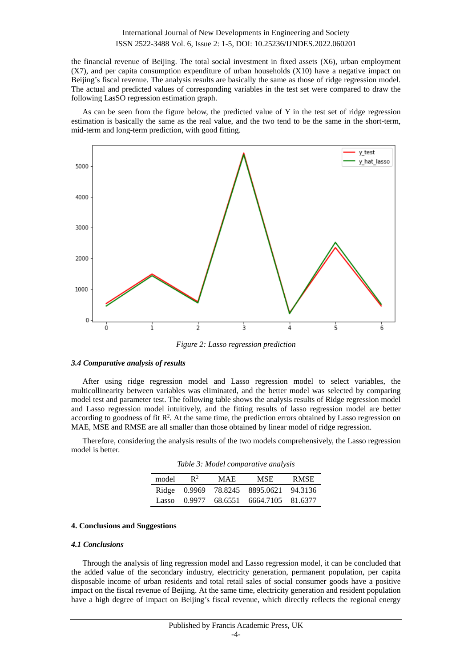the financial revenue of Beijing. The total social investment in fixed assets (X6), urban employment (X7), and per capita consumption expenditure of urban households (X10) have a negative impact on Beijing's fiscal revenue. The analysis results are basically the same as those of ridge regression model. The actual and predicted values of corresponding variables in the test set were compared to draw the following LasSO regression estimation graph.

As can be seen from the figure below, the predicted value of Y in the test set of ridge regression estimation is basically the same as the real value, and the two tend to be the same in the short-term, mid-term and long-term prediction, with good fitting.



*Figure 2: Lasso regression prediction*

#### *3.4 Comparative analysis of results*

After using ridge regression model and Lasso regression model to select variables, the multicollinearity between variables was eliminated, and the better model was selected by comparing model test and parameter test. The following table shows the analysis results of Ridge regression model and Lasso regression model intuitively, and the fitting results of lasso regression model are better according to goodness of fit  $\mathbb{R}^2$ . At the same time, the prediction errors obtained by Lasso regression on MAE, MSE and RMSE are all smaller than those obtained by linear model of ridge regression.

Therefore, considering the analysis results of the two models comprehensively, the Lasso regression model is better.

*Table 3: Model comparative analysis*

| model | $\mathbb{R}^2$ | MAE.                 | MSE.      | <b>RMSE</b> |
|-------|----------------|----------------------|-----------|-------------|
|       |                | Ridge 0.9969 78.8245 | 8895.0621 | 94.3136     |
| Lasso | 0.9977         | 68.6551              | 6664.7105 | 81.6377     |

## **4. Conclusions and Suggestions**

#### *4.1 Conclusions*

Through the analysis of ling regression model and Lasso regression model, it can be concluded that the added value of the secondary industry, electricity generation, permanent population, per capita disposable income of urban residents and total retail sales of social consumer goods have a positive impact on the fiscal revenue of Beijing. At the same time, electricity generation and resident population have a high degree of impact on Beijing's fiscal revenue, which directly reflects the regional energy